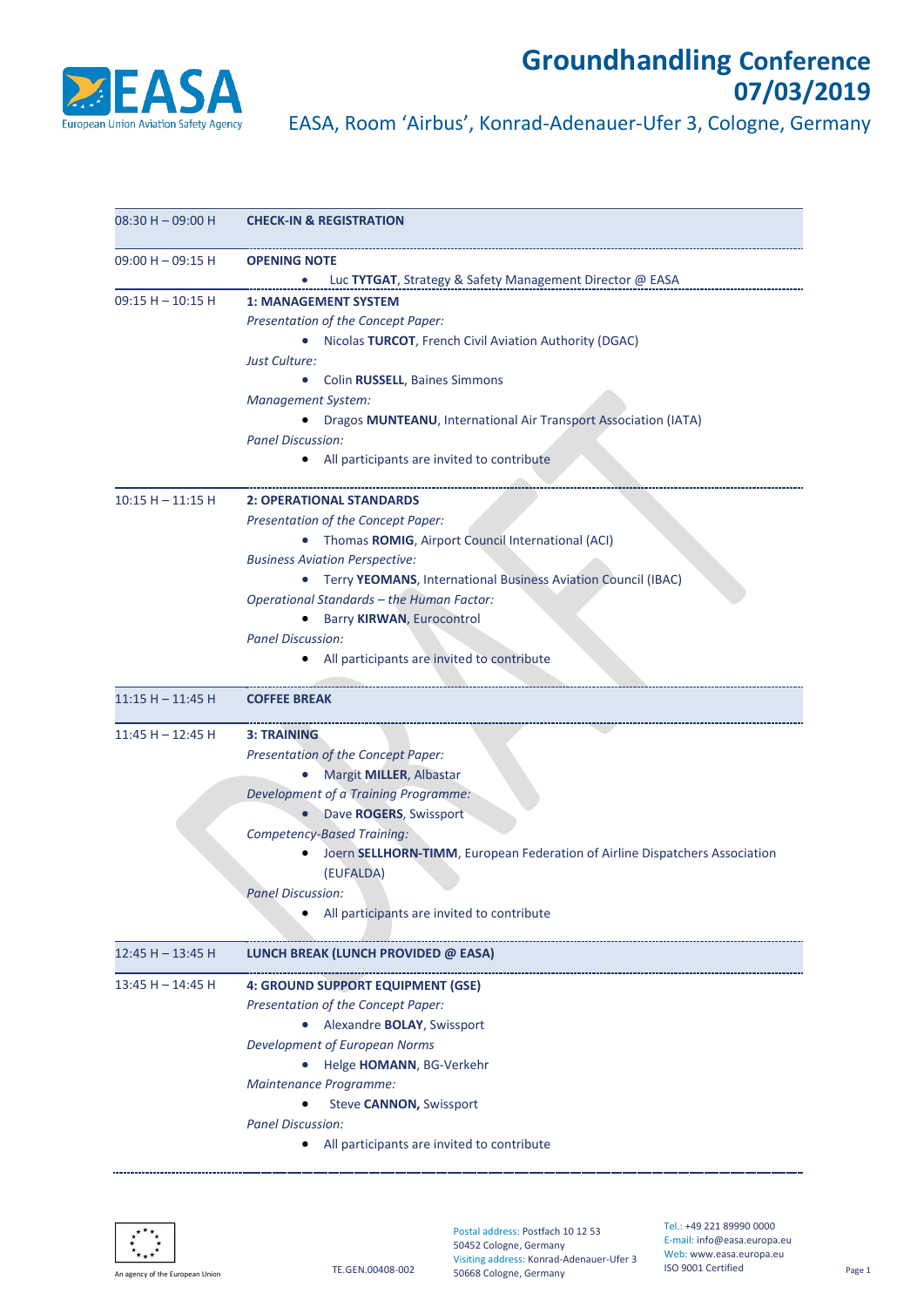

## **Groundhandling Conference 07/03/2019**

EASA, Room 'Airbus', Konrad-Adenauer-Ufer 3, Cologne, Germany

| $08:30 H - 09:00 H$ | <b>CHECK-IN &amp; REGISTRATION</b>                                          |
|---------------------|-----------------------------------------------------------------------------|
| $09:00 H - 09:15 H$ | <b>OPENING NOTE</b>                                                         |
|                     | Luc TYTGAT, Strategy & Safety Management Director @ EASA                    |
| $09:15 H - 10:15 H$ | <b>1: MANAGEMENT SYSTEM</b>                                                 |
|                     | Presentation of the Concept Paper:                                          |
|                     | • Nicolas TURCOT, French Civil Aviation Authority (DGAC)                    |
|                     | Just Culture:                                                               |
|                     | Colin RUSSELL, Baines Simmons<br>$\bullet$                                  |
|                     | <b>Management System:</b>                                                   |
|                     | Dragos MUNTEANU, International Air Transport Association (IATA)             |
|                     | <b>Panel Discussion:</b>                                                    |
|                     | • All participants are invited to contribute                                |
| $10:15 H - 11:15 H$ | <b>2: OPERATIONAL STANDARDS</b>                                             |
|                     | Presentation of the Concept Paper:                                          |
|                     | Thomas ROMIG, Airport Council International (ACI)                           |
|                     | <b>Business Aviation Perspective:</b>                                       |
|                     | Terry YEOMANS, International Business Aviation Council (IBAC)               |
|                     | Operational Standards - the Human Factor:                                   |
|                     | Barry KIRWAN, Eurocontrol<br>$\bullet$                                      |
|                     | <b>Panel Discussion:</b>                                                    |
|                     | All participants are invited to contribute                                  |
| $11:15 H - 11:45 H$ | <b>COFFEE BREAK</b>                                                         |
| $11:45 H - 12:45 H$ | <b>3: TRAINING</b>                                                          |
|                     | Presentation of the Concept Paper:                                          |
|                     | Margit MILLER, Albastar                                                     |
|                     | Development of a Training Programme:                                        |
|                     | Dave ROGERS, Swissport                                                      |
|                     | <b>Competency-Based Training:</b>                                           |
|                     | Joern SELLHORN-TIMM, European Federation of Airline Dispatchers Association |
|                     | (EUFALDA)                                                                   |
|                     | <b>Panel Discussion:</b>                                                    |
|                     | All participants are invited to contribute                                  |
| $12:45 H - 13:45 H$ | LUNCH BREAK (LUNCH PROVIDED @ EASA)                                         |
| 13:45 H - 14:45 H   | 4: GROUND SUPPORT EQUIPMENT (GSE)                                           |
|                     | Presentation of the Concept Paper:                                          |
|                     | Alexandre BOLAY, Swissport                                                  |
|                     | Development of European Norms                                               |
|                     | Helge HOMANN, BG-Verkehr                                                    |
|                     | Maintenance Programme:                                                      |
|                     | Steve CANNON, Swissport                                                     |
|                     | <b>Panel Discussion:</b>                                                    |
|                     | All participants are invited to contribute                                  |
|                     |                                                                             |



Postal address: Postfach 10 12 53 50452 Cologne, Germany Visiting address: Konrad-Adenauer-Ufer 3 50668 Cologne, Germany

Tel.: +49 221 89990 0000 E-mail: info@easa.europa.eu Web: www.easa.europa.eu ISO 9001 Certified Page 1